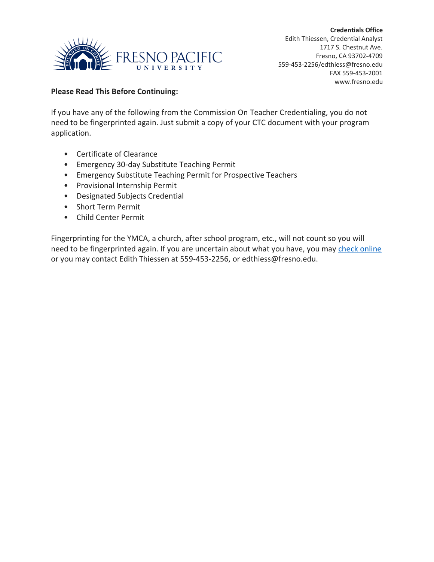

## **Please Read This Before Continuing:**

If you have any of the following from the Commission On Teacher Credentialing, you do not need to be fingerprinted again. Just submit a copy of your CTC document with your program application.

- Certificate of Clearance
- Emergency 30-day Substitute Teaching Permit
- Emergency Substitute Teaching Permit for Prospective Teachers
- Provisional Internship Permit
- Designated Subjects Credential
- Short Term Permit
- Child Center Permit

Fingerprinting for the YMCA, a church, after school program, etc., will not count so you will need to be fingerprinted again. If you are uncertain about what you have, you may [check online](mailto:check%20online) or you may contact Edith Thiessen at 559-453-2256, or edthiess@fresno.edu.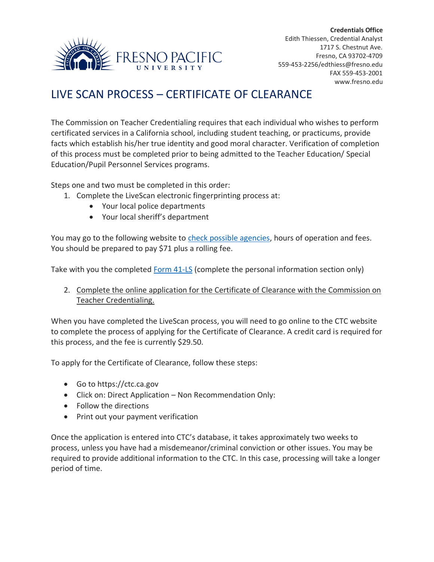

## LIVE SCAN PROCESS – CERTIFICATE OF CLEARANCE

The Commission on Teacher Credentialing requires that each individual who wishes to perform certificated services in a California school, including student teaching, or practicums, provide facts which establish his/her true identity and good moral character. Verification of completion of this process must be completed prior to being admitted to the Teacher Education/ Special Education/Pupil Personnel Services programs.

Steps one and two must be completed in this order:

- 1. Complete the LiveScan electronic fingerprinting process at:
	- Your local police departments
	- Your local sheriff's department

You may go to the following website to [check possible agencies,](https://oag.ca.gov/fingerprints/locations) hours of operation and fees. You should be prepared to pay \$71 plus a rolling fee.

Take with you the completed [Form 41-LS](https://www.ctc.ca.gov/docs/default-source/leaflets/41-ls.pdf?sfvrsn=a1c12202_22) (complete the personal information section only)

2. Complete the online application for the Certificate of Clearance with the Commission on Teacher Credentialing.

When you have completed the LiveScan process, you will need to go online to the CTC website to complete the process of applying for the Certificate of Clearance. A credit card is required for this process, and the fee is currently \$29.50.

To apply for the Certificate of Clearance, follow these steps:

- Go to https://ctc.ca.gov
- Click on: Direct Application Non Recommendation Only:
- Follow the directions
- Print out your payment verification

Once the application is entered into CTC's database, it takes approximately two weeks to process, unless you have had a misdemeanor/criminal conviction or other issues. You may be required to provide additional information to the CTC. In this case, processing will take a longer period of time.